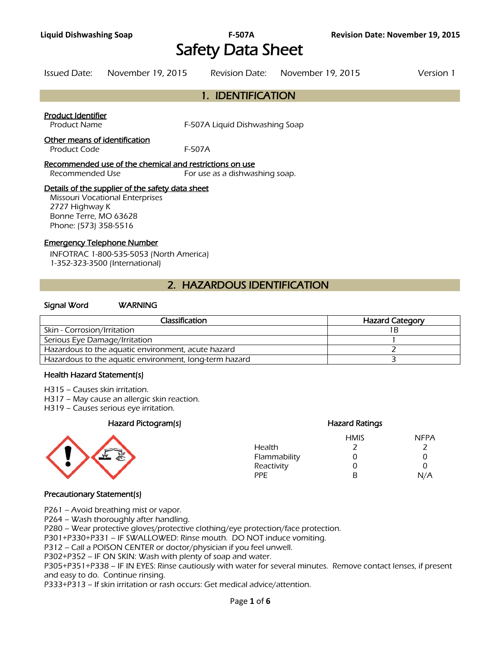# Safety Data Sheet

Issued Date: November 19, 2015 Revision Date: November 19, 2015 Version 1

# 1. IDENTIFICATION

#### Product Identifier

Product Name **F-507A Liquid Dishwashing Soap** 

#### Other means of identification

Product Code F-507A

#### Recommended use of the chemical and restrictions on use

Recommended Use For use as a dishwashing soap.

#### Details of the supplier of the safety data sheet

Missouri Vocational Enterprises 2727 Highway K Bonne Terre, MO 63628 Phone: (573) 358-5516

#### Emergency Telephone Number

INFOTRAC 1-800-535-5053 (North America) 1-352-323-3500 (International)

# 2. HAZARDOUS IDENTIFICATION

#### Signal Word WARNING

| Classification                                         | <b>Hazard Category</b> |
|--------------------------------------------------------|------------------------|
| Skin - Corrosion/Irritation                            |                        |
| Serious Eye Damage/Irritation                          |                        |
| Hazardous to the aquatic environment, acute hazard     |                        |
| Hazardous to the aquatic environment, long-term hazard |                        |
|                                                        |                        |

#### Health Hazard Statement(s)

- H315 Causes skin irritation.
- H317 May cause an allergic skin reaction.
- H319 Causes serious eye irritation.

#### Hazard Pictogram(s) Hazard Ratings



| <b>HMIS</b> | <b>NFPA</b>   |
|-------------|---------------|
|             |               |
| O)          | $\mathcal{L}$ |
| 0           | ∩             |
| R           | N/A           |
|             |               |

#### Precautionary Statement(s)

P261 – Avoid breathing mist or vapor.

P264 – Wash thoroughly after handling.

P280 – Wear protective gloves/protective clothing/eye protection/face protection.

P301+P330+P331 – IF SWALLOWED: Rinse mouth. DO NOT induce vomiting.

P312 – Call a POISON CENTER or doctor/physician if you feel unwell.

P302+P352 – IF ON SKIN: Wash with plenty of soap and water.

P305+P351+P338 – IF IN EYES: Rinse cautiously with water for several minutes. Remove contact lenses, if present and easy to do. Continue rinsing.

P333+P313 – If skin irritation or rash occurs: Get medical advice/attention.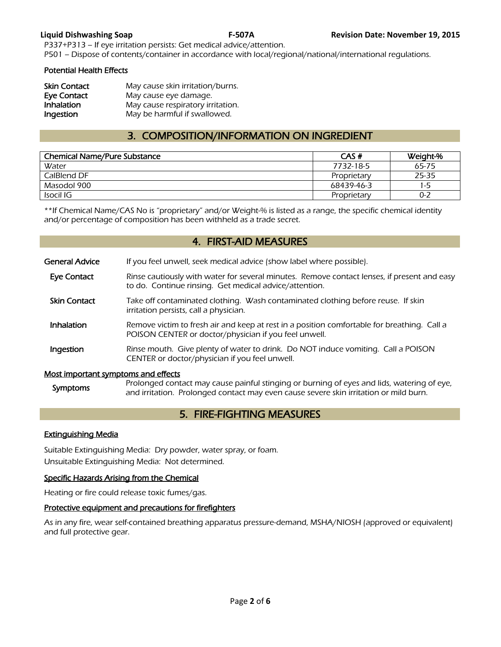P337+P313 – If eye irritation persists: Get medical advice/attention. P501 – Dispose of contents/container in accordance with local/regional/national/international regulations.

#### Potential Health Effects

| <b>Skin Contact</b> | May cause skin irritation/burns.  |
|---------------------|-----------------------------------|
| <b>Eye Contact</b>  | May cause eye damage.             |
| Inhalation          | May cause respiratory irritation. |
| Ingestion           | May be harmful if swallowed.      |

# 3. COMPOSITION/INFORMATION ON INGREDIENT

| <b>Chemical Name/Pure Substance</b> | CAS#        | Weight-% |
|-------------------------------------|-------------|----------|
| Water                               | 7732-18-5   | 65-75    |
| CalBlend DF                         | Proprietary | 25-35    |
| Masodol 900                         | 68439-46-3  | $1 - 5$  |
| Isocil IG                           | Proprietary | $0 - 2$  |
|                                     |             |          |

\*\*If Chemical Name/CAS No is "proprietary" and/or Weight-% is listed as a range, the specific chemical identity and/or percentage of composition has been withheld as a trade secret.

#### 4. FIRST-AID MEASURES

| General Advice                      | If you feel unwell, seek medical advice (show label where possible).                                                                                  |
|-------------------------------------|-------------------------------------------------------------------------------------------------------------------------------------------------------|
| <b>Eye Contact</b>                  | Rinse cautiously with water for several minutes. Remove contact lenses, if present and easy<br>to do. Continue rinsing. Get medical advice/attention. |
| <b>Skin Contact</b>                 | Take off contaminated clothing. Wash contaminated clothing before reuse. If skin<br>irritation persists, call a physician.                            |
| Inhalation                          | Remove victim to fresh air and keep at rest in a position comfortable for breathing. Call a<br>POISON CENTER or doctor/physician if you feel unwell.  |
| Ingestion                           | Rinse mouth. Give plenty of water to drink. Do NOT induce vomiting. Call a POISON<br>CENTER or doctor/physician if you feel unwell.                   |
| Most important symptoms and effects | Prolonged contact may cause painful stinging or burning of eves and lids, watering of eve                                                             |

# Symptoms Prolonged contact may cause painful stinging or burning of eyes and lids, watering of eye,<br>and irritation. Prolonged contact may even cause severe skin irritation or mild burn.

## 5. FIRE-FIGHTING MEASURES

#### Extinguishing Media

Suitable Extinguishing Media: Dry powder, water spray, or foam. Unsuitable Extinguishing Media: Not determined.

#### Specific Hazards Arising from the Chemical

Heating or fire could release toxic fumes/gas.

#### Protective equipment and precautions for firefighters

As in any fire, wear self-contained breathing apparatus pressure-demand, MSHA/NIOSH (approved or equivalent) and full protective gear.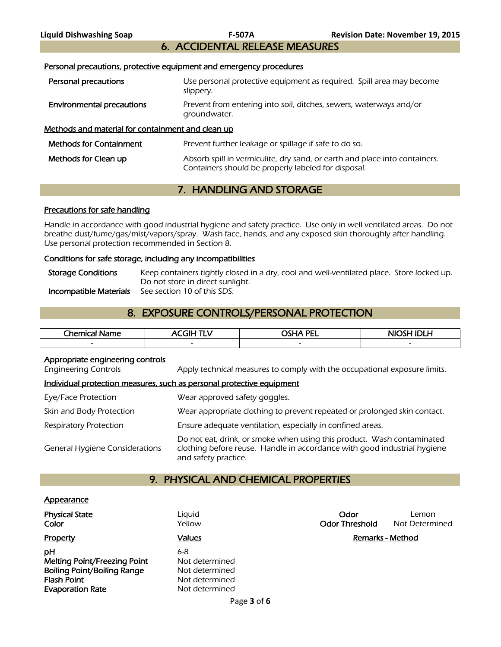# 6. ACCIDENTAL RELEASE MEASURES

Personal precautions, protective equipment and emergency procedures

| Personal precautions                              | Use personal protective equipment as required. Spill area may become<br>slippery.                                                 |  |
|---------------------------------------------------|-----------------------------------------------------------------------------------------------------------------------------------|--|
| <b>Environmental precautions</b>                  | Prevent from entering into soil, ditches, sewers, waterways and/or<br>groundwater.                                                |  |
| Methods and material for containment and clean up |                                                                                                                                   |  |
| <b>Methods for Containment</b>                    | Prevent further leakage or spillage if safe to do so.                                                                             |  |
| Methods for Clean up                              | Absorb spill in vermiculite, dry sand, or earth and place into containers.<br>Containers should be properly labeled for disposal. |  |

# 7. HANDLING AND STORAGE

#### Precautions for safe handling

Handle in accordance with good industrial hygiene and safety practice. Use only in well ventilated areas. Do not breathe dust/fume/gas/mist/vapors/spray. Wash face, hands, and any exposed skin thoroughly after handling. Use personal protection recommended in Section 8.

#### Conditions for safe storage, including any incompatibilities

| <b>Storage Conditions</b> | Keep containers tightly closed in a dry, cool and well-ventilated place. Store locked up. |
|---------------------------|-------------------------------------------------------------------------------------------|
|                           | Do not store in direct sunlight.                                                          |
| Incompatible Materials    | See section 10 of this SDS.                                                               |

# 8. EXPOSURE CONTROLS/PERSONAL PROTECTION

| Chemical<br>Name<br>л | . THE $\overline{\phantom{a}}$<br>-- | <b>OSHA PEI</b><br>---   | NIOSH IDI H              |
|-----------------------|--------------------------------------|--------------------------|--------------------------|
|                       | $\overline{\phantom{a}}$             | $\overline{\phantom{0}}$ | $\overline{\phantom{a}}$ |
|                       |                                      |                          |                          |

#### Appropriate engineering controls

Engineering Controls Apply technical measures to comply with the occupational exposure limits.

#### Individual protection measures, such as personal protective equipment

| Eye/Face Protection                   | Wear approved safety goggles.                                                                                                                                              |
|---------------------------------------|----------------------------------------------------------------------------------------------------------------------------------------------------------------------------|
| Skin and Body Protection              | Wear appropriate clothing to prevent repeated or prolonged skin contact.                                                                                                   |
| <b>Respiratory Protection</b>         | Ensure adequate ventilation, especially in confined areas.                                                                                                                 |
| <b>General Hygiene Considerations</b> | Do not eat, drink, or smoke when using this product. Wash contaminated<br>clothing before reuse. Handle in accordance with good industrial hygiene<br>and safety practice. |

### 9. PHYSICAL AND CHEMICAL PROPERTIES

#### **Appearance**

| <b>Physical State</b><br>Color                                                                                            | Liquid<br>Yellow                                                            | Odor<br><b>Odor Threshold</b> | Lemon<br>Not Determined |
|---------------------------------------------------------------------------------------------------------------------------|-----------------------------------------------------------------------------|-------------------------------|-------------------------|
| Property                                                                                                                  | <b>Values</b>                                                               |                               | Remarks - Method        |
| pН<br><b>Melting Point/Freezing Point</b><br><b>Boiling Point/Boiling Range</b><br>Flash Point<br><b>Evaporation Rate</b> | 6-8<br>Not determined<br>Not determined<br>Not determined<br>Not determined |                               |                         |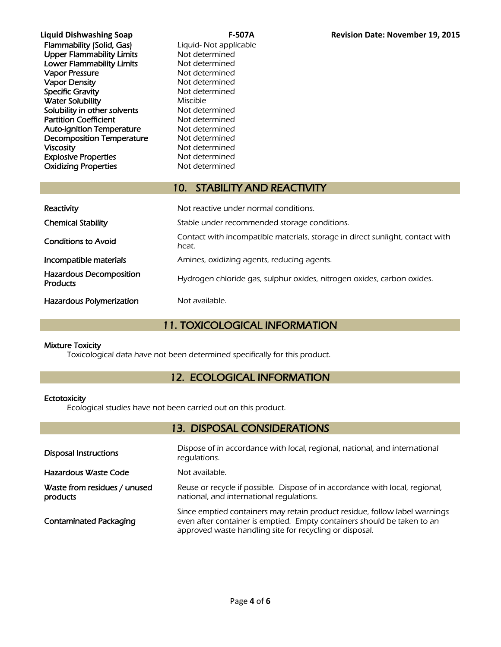| <b>F-507A</b>          | <b>Revision Date: November 19, 2015</b> |
|------------------------|-----------------------------------------|
| Liquid- Not applicable |                                         |
| Not determined         |                                         |
| Not determined         |                                         |
| Not determined         |                                         |
| Not determined         |                                         |
| Not determined         |                                         |
| <b>Miscible</b>        |                                         |
| Not determined         |                                         |
| Not determined         |                                         |
| Not determined         |                                         |
| Not determined         |                                         |
| Not determined         |                                         |
| Not determined         |                                         |
| Not determined         |                                         |
|                        |                                         |

# 10. STABILITY AND REACTIVITY

| Reactivity                                        | Not reactive under normal conditions.                                                  |
|---------------------------------------------------|----------------------------------------------------------------------------------------|
| <b>Chemical Stability</b>                         | Stable under recommended storage conditions.                                           |
| <b>Conditions to Avoid</b>                        | Contact with incompatible materials, storage in direct sunlight, contact with<br>heat. |
| Incompatible materials                            | Amines, oxidizing agents, reducing agents.                                             |
| <b>Hazardous Decomposition</b><br><b>Products</b> | Hydrogen chloride gas, sulphur oxides, nitrogen oxides, carbon oxides.                 |
| Hazardous Polymerization                          | Not available.                                                                         |

# 11. TOXICOLOGICAL INFORMATION

### Mixture Toxicity

Toxicological data have not been determined specifically for this product.

# 12. ECOLOGICAL INFORMATION

### **Ectotoxicity**

Ecological studies have not been carried out on this product.

# 13. DISPOSAL CONSIDERATIONS

| <b>Disposal Instructions</b>             | Dispose of in accordance with local, regional, national, and international<br>regulations.                                                                                                                       |
|------------------------------------------|------------------------------------------------------------------------------------------------------------------------------------------------------------------------------------------------------------------|
| Hazardous Waste Code                     | Not available.                                                                                                                                                                                                   |
| Waste from residues / unused<br>products | Reuse or recycle if possible. Dispose of in accordance with local, regional,<br>national, and international regulations.                                                                                         |
| <b>Contaminated Packaging</b>            | Since emptied containers may retain product residue, follow label warnings<br>even after container is emptied. Empty containers should be taken to an<br>approved waste handling site for recycling or disposal. |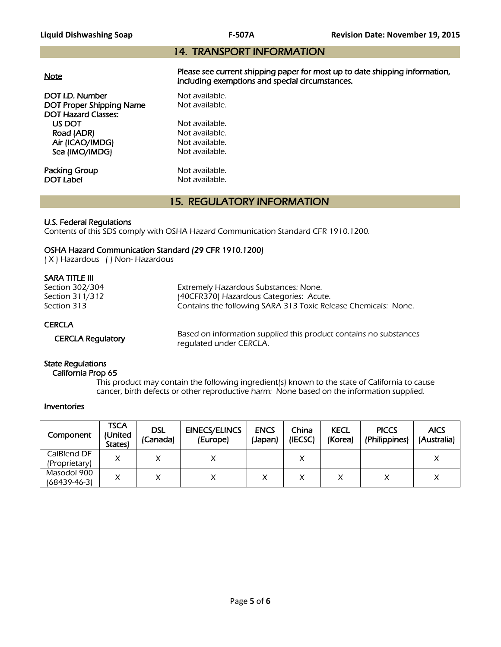### 14. TRANSPORT INFORMATION

|--|

Please see current shipping paper for most up to date shipping information, including exemptions and special circumstances.

**DOT I.D. Number Not available.**<br> **DOT Proper Shipping Name** Not available. DOT Proper Shipping Name DOT Hazard Classes: US DOT Not available.<br>
Road (ADR) Not available. Road (ADR) Air (ICAO/IMDG) Not available. Sea (IMO/IMDG) Not available.

**Packing Group Not available.**<br> **DOT Label Not available.** 

Not available.

## 15. REGULATORY INFORMATION

#### U.S. Federal Regulations

Contents of this SDS comply with OSHA Hazard Communication Standard CFR 1910.1200.

#### OSHA Hazard Communication Standard (29 CFR 1910.1200)

( X ) Hazardous ( ) Non- Hazardous

#### SARA TITLE III

| Section 302/304          | Extremely Hazardous Substances: None.                             |
|--------------------------|-------------------------------------------------------------------|
| Section 311/312          | (40CFR370) Hazardous Categories: Acute.                           |
| Section 313              | Contains the following SARA 313 Toxic Release Chemicals: None.    |
| <b>CERCLA</b>            | Based on information supplied this product contains no substances |
| <b>CERCLA Requlatory</b> | requlated under CERCLA.                                           |

State Regulations

#### California Prop 65

 This product may contain the following ingredient(s) known to the state of California to cause cancer, birth defects or other reproductive harm: None based on the information supplied.

#### Inventories

| Component                    | <b>TSCA</b><br>(United<br><b>States</b> | <b>DSL</b><br>(Canada) | <b>EINECS/ELINCS</b><br>(Europe) | <b>ENCS</b><br>(Japan) | China<br>(IECSC) | <b>KECL</b><br>(Korea) | <b>PICCS</b><br>(Philippines) | <b>AICS</b><br>(Australia) |
|------------------------------|-----------------------------------------|------------------------|----------------------------------|------------------------|------------------|------------------------|-------------------------------|----------------------------|
| CalBlend DF<br>(Proprietary) | X                                       |                        |                                  |                        |                  |                        |                               |                            |
| Masodol 900<br>(68439-46-3)  |                                         |                        |                                  |                        |                  |                        |                               |                            |